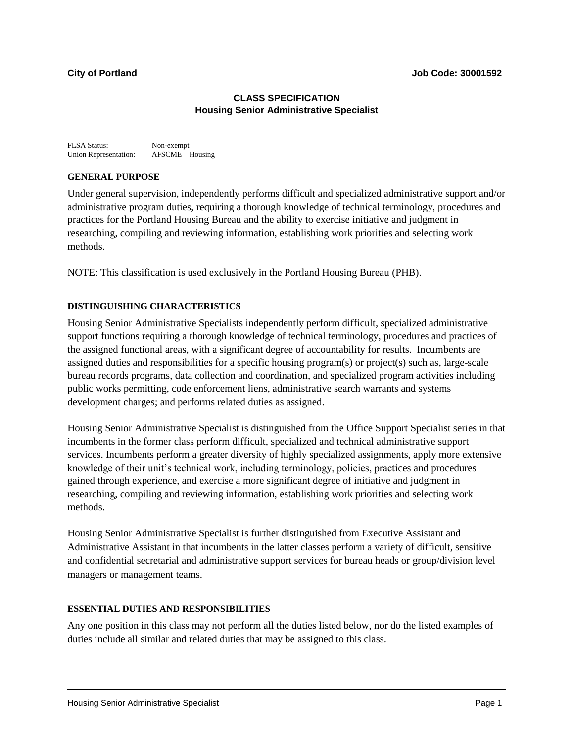# **CLASS SPECIFICATION Housing Senior Administrative Specialist**

FLSA Status: Non-exempt<br>Union Representation: AFSCME – Housing Union Representation:

## **GENERAL PURPOSE**

Under general supervision, independently performs difficult and specialized administrative support and/or administrative program duties, requiring a thorough knowledge of technical terminology, procedures and practices for the Portland Housing Bureau and the ability to exercise initiative and judgment in researching, compiling and reviewing information, establishing work priorities and selecting work methods.

NOTE: This classification is used exclusively in the Portland Housing Bureau (PHB).

## **DISTINGUISHING CHARACTERISTICS**

Housing Senior Administrative Specialists independently perform difficult, specialized administrative support functions requiring a thorough knowledge of technical terminology, procedures and practices of the assigned functional areas, with a significant degree of accountability for results. Incumbents are assigned duties and responsibilities for a specific housing program(s) or project(s) such as, large-scale bureau records programs, data collection and coordination, and specialized program activities including public works permitting, code enforcement liens, administrative search warrants and systems development charges; and performs related duties as assigned.

Housing Senior Administrative Specialist is distinguished from the Office Support Specialist series in that incumbents in the former class perform difficult, specialized and technical administrative support services. Incumbents perform a greater diversity of highly specialized assignments, apply more extensive knowledge of their unit's technical work, including terminology, policies, practices and procedures gained through experience, and exercise a more significant degree of initiative and judgment in researching, compiling and reviewing information, establishing work priorities and selecting work methods.

Housing Senior Administrative Specialist is further distinguished from Executive Assistant and Administrative Assistant in that incumbents in the latter classes perform a variety of difficult, sensitive and confidential secretarial and administrative support services for bureau heads or group/division level managers or management teams.

## **ESSENTIAL DUTIES AND RESPONSIBILITIES**

Any one position in this class may not perform all the duties listed below, nor do the listed examples of duties include all similar and related duties that may be assigned to this class.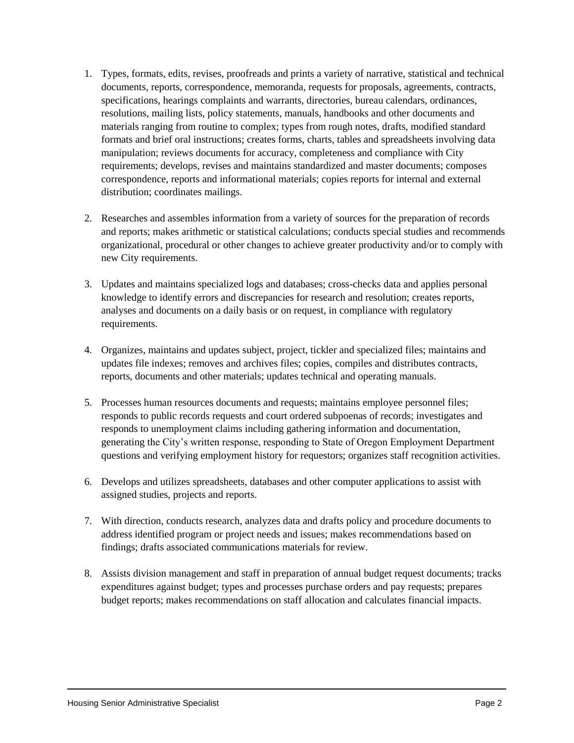- 1. Types, formats, edits, revises, proofreads and prints a variety of narrative, statistical and technical documents, reports, correspondence, memoranda, requests for proposals, agreements, contracts, specifications, hearings complaints and warrants, directories, bureau calendars, ordinances, resolutions, mailing lists, policy statements, manuals, handbooks and other documents and materials ranging from routine to complex; types from rough notes, drafts, modified standard formats and brief oral instructions; creates forms, charts, tables and spreadsheets involving data manipulation; reviews documents for accuracy, completeness and compliance with City requirements; develops, revises and maintains standardized and master documents; composes correspondence, reports and informational materials; copies reports for internal and external distribution; coordinates mailings.
- 2. Researches and assembles information from a variety of sources for the preparation of records and reports; makes arithmetic or statistical calculations; conducts special studies and recommends organizational, procedural or other changes to achieve greater productivity and/or to comply with new City requirements.
- 3. Updates and maintains specialized logs and databases; cross-checks data and applies personal knowledge to identify errors and discrepancies for research and resolution; creates reports, analyses and documents on a daily basis or on request, in compliance with regulatory requirements.
- 4. Organizes, maintains and updates subject, project, tickler and specialized files; maintains and updates file indexes; removes and archives files; copies, compiles and distributes contracts, reports, documents and other materials; updates technical and operating manuals.
- 5. Processes human resources documents and requests; maintains employee personnel files; responds to public records requests and court ordered subpoenas of records; investigates and responds to unemployment claims including gathering information and documentation, generating the City's written response, responding to State of Oregon Employment Department questions and verifying employment history for requestors; organizes staff recognition activities.
- 6. Develops and utilizes spreadsheets, databases and other computer applications to assist with assigned studies, projects and reports.
- 7. With direction, conducts research, analyzes data and drafts policy and procedure documents to address identified program or project needs and issues; makes recommendations based on findings; drafts associated communications materials for review.
- 8. Assists division management and staff in preparation of annual budget request documents; tracks expenditures against budget; types and processes purchase orders and pay requests; prepares budget reports; makes recommendations on staff allocation and calculates financial impacts.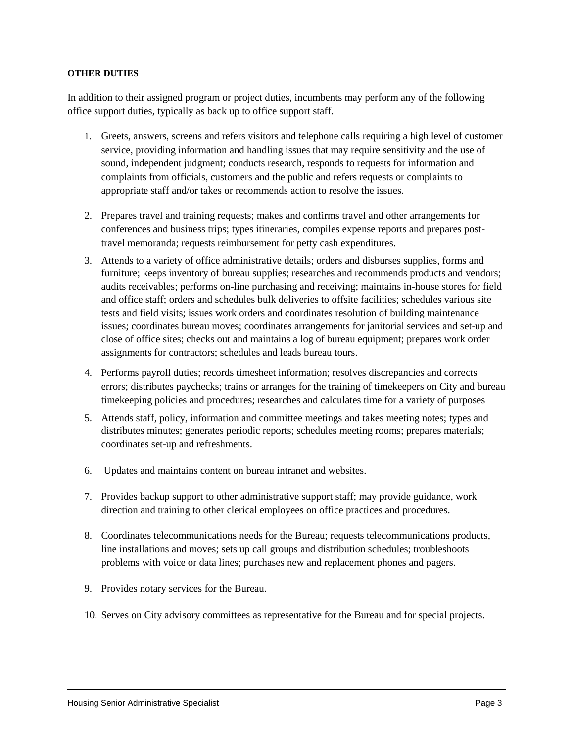# **OTHER DUTIES**

In addition to their assigned program or project duties, incumbents may perform any of the following office support duties, typically as back up to office support staff.

- 1. Greets, answers, screens and refers visitors and telephone calls requiring a high level of customer service, providing information and handling issues that may require sensitivity and the use of sound, independent judgment; conducts research, responds to requests for information and complaints from officials, customers and the public and refers requests or complaints to appropriate staff and/or takes or recommends action to resolve the issues.
- 2. Prepares travel and training requests; makes and confirms travel and other arrangements for conferences and business trips; types itineraries, compiles expense reports and prepares posttravel memoranda; requests reimbursement for petty cash expenditures.
- 3. Attends to a variety of office administrative details; orders and disburses supplies, forms and furniture; keeps inventory of bureau supplies; researches and recommends products and vendors; audits receivables; performs on-line purchasing and receiving; maintains in-house stores for field and office staff; orders and schedules bulk deliveries to offsite facilities; schedules various site tests and field visits; issues work orders and coordinates resolution of building maintenance issues; coordinates bureau moves; coordinates arrangements for janitorial services and set-up and close of office sites; checks out and maintains a log of bureau equipment; prepares work order assignments for contractors; schedules and leads bureau tours.
- 4. Performs payroll duties; records timesheet information; resolves discrepancies and corrects errors; distributes paychecks; trains or arranges for the training of timekeepers on City and bureau timekeeping policies and procedures; researches and calculates time for a variety of purposes
- 5. Attends staff, policy, information and committee meetings and takes meeting notes; types and distributes minutes; generates periodic reports; schedules meeting rooms; prepares materials; coordinates set-up and refreshments.
- 6. Updates and maintains content on bureau intranet and websites.
- 7. Provides backup support to other administrative support staff; may provide guidance, work direction and training to other clerical employees on office practices and procedures.
- 8. Coordinates telecommunications needs for the Bureau; requests telecommunications products, line installations and moves; sets up call groups and distribution schedules; troubleshoots problems with voice or data lines; purchases new and replacement phones and pagers.
- 9. Provides notary services for the Bureau.
- 10. Serves on City advisory committees as representative for the Bureau and for special projects.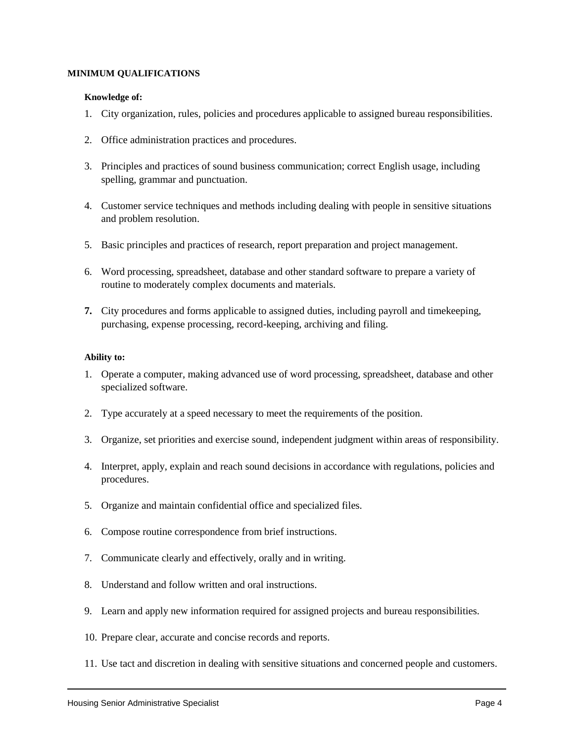#### **MINIMUM QUALIFICATIONS**

#### **Knowledge of:**

- 1. City organization, rules, policies and procedures applicable to assigned bureau responsibilities.
- 2. Office administration practices and procedures.
- 3. Principles and practices of sound business communication; correct English usage, including spelling, grammar and punctuation.
- 4. Customer service techniques and methods including dealing with people in sensitive situations and problem resolution.
- 5. Basic principles and practices of research, report preparation and project management.
- 6. Word processing, spreadsheet, database and other standard software to prepare a variety of routine to moderately complex documents and materials.
- **7.** City procedures and forms applicable to assigned duties, including payroll and timekeeping, purchasing, expense processing, record-keeping, archiving and filing.

### **Ability to:**

- 1. Operate a computer, making advanced use of word processing, spreadsheet, database and other specialized software.
- 2. Type accurately at a speed necessary to meet the requirements of the position.
- 3. Organize, set priorities and exercise sound, independent judgment within areas of responsibility.
- 4. Interpret, apply, explain and reach sound decisions in accordance with regulations, policies and procedures.
- 5. Organize and maintain confidential office and specialized files.
- 6. Compose routine correspondence from brief instructions.
- 7. Communicate clearly and effectively, orally and in writing.
- 8. Understand and follow written and oral instructions.
- 9. Learn and apply new information required for assigned projects and bureau responsibilities.
- 10. Prepare clear, accurate and concise records and reports.
- 11. Use tact and discretion in dealing with sensitive situations and concerned people and customers.